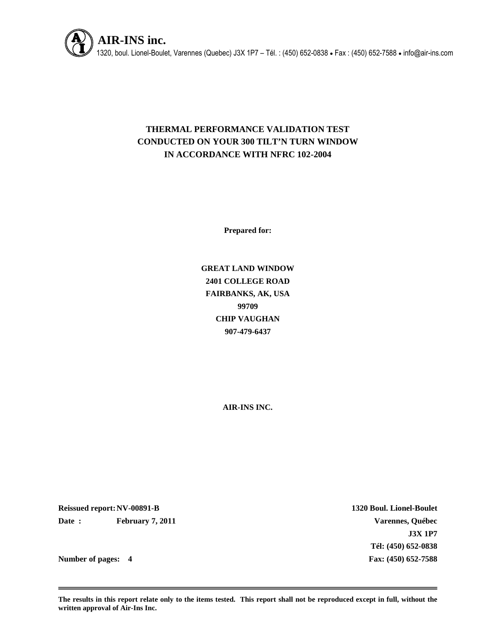

# **THERMAL PERFORMANCE VALIDATION TEST CONDUCTED ON YOUR 300 TILT'N TURN WINDOW IN ACCORDANCE WITH NFRC 102-2004**

**Prepared for:**

**GREAT LAND WINDOW 2401 COLLEGE ROAD FAIRBANKS, AK, USA 99709 CHIP VAUGHAN 907-479-6437**

**AIR-INS INC.**

**Reissued report:NV-00891-B 1320 Boul. Lionel-Boulet Date : February 7, 2011 Varennes, Québec**

**J3X 1P7 Tél: (450) 652-0838 Number of pages: 4 Fax: (450) 652-7588**

**The results in this report relate only to the items tested. This report shall not be reproduced except in full, without the written approval of Air-Ins Inc.**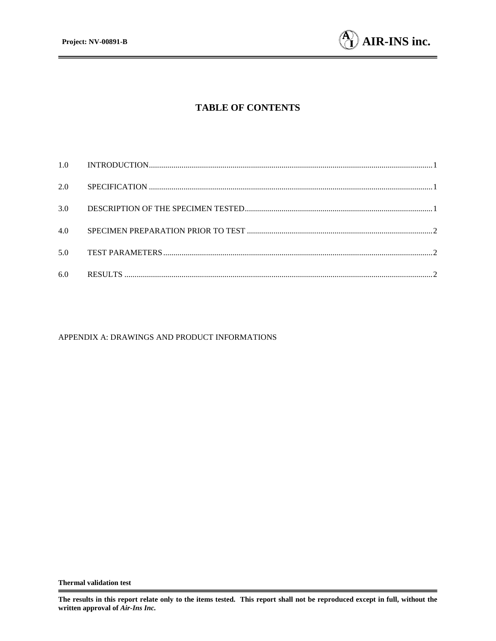

# **TABLE OF CONTENTS**

| 2.0 |  |
|-----|--|
| 3.0 |  |
| 4.0 |  |
| 5.0 |  |
| 6.0 |  |

#### APPENDIX A: DRAWINGS AND PRODUCT INFORMATIONS

**The results in this report relate only to the items tested. This report shall not be reproduced except in full, without the written approval of** *Air-Ins Inc.*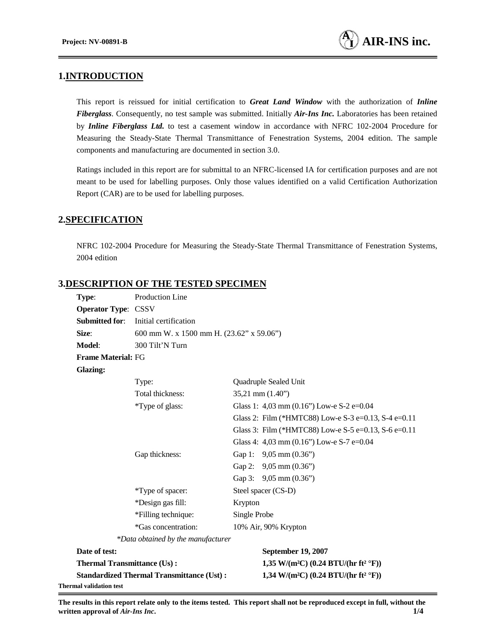# **1.INTRODUCTION**

This report is reissued for initial certification to *Great Land Window* with the authorization of *Inline Fiberglass*. Consequently, no test sample was submitted. Initially *Air-Ins Inc.* Laboratories has been retained by *Inline Fiberglass Ltd.* to test a casement window in accordance with NFRC 102-2004 Procedure for Measuring the Steady-State Thermal Transmittance of Fenestration Systems, 2004 edition. The sample components and manufacturing are documented in section 3.0.

Ratings included in this report are for submittal to an NFRC-licensed IA for certification purposes and are not meant to be used for labelling purposes. Only those values identified on a valid Certification Authorization Report (CAR) are to be used for labelling purposes.

# **2.SPECIFICATION**

NFRC 102-2004 Procedure for Measuring the Steady-State Thermal Transmittance of Fenestration Systems, 2004 edition

# **3.DESCRIPTION OF THE TESTED SPECIMEN**

| Type:                              | Production Line                                  |              |                                                              |
|------------------------------------|--------------------------------------------------|--------------|--------------------------------------------------------------|
| <b>Operator Type: CSSV</b>         |                                                  |              |                                                              |
| <b>Submitted for:</b>              | Initial certification                            |              |                                                              |
| Size:                              | 600 mm W. x 1500 mm H. (23.62" x 59.06")         |              |                                                              |
| Model:                             | 300 Tilt'N Turn                                  |              |                                                              |
| <b>Frame Material: FG</b>          |                                                  |              |                                                              |
| <b>Glazing:</b>                    |                                                  |              |                                                              |
|                                    | Type:                                            |              | Quadruple Sealed Unit                                        |
|                                    | Total thickness:                                 |              | $35,21$ mm $(1.40)$                                          |
|                                    | *Type of glass:                                  |              | Glass 1: 4,03 mm $(0.16)$ Low-e S-2 e=0.04                   |
|                                    |                                                  |              | Glass 2: Film (*HMTC88) Low-e S-3 e=0.13, S-4 e=0.11         |
|                                    |                                                  |              | Glass 3: Film (*HMTC88) Low-e S-5 e=0.13, S-6 e=0.11         |
|                                    |                                                  |              | Glass 4: 4,03 mm $(0.16)$ Low-e S-7 e=0.04                   |
|                                    | Gap thickness:                                   |              | Gap 1: $9,05$ mm $(0.36)$                                    |
|                                    |                                                  |              | Gap 2: 9,05 mm (0.36")                                       |
|                                    |                                                  |              | Gap 3: 9,05 mm (0.36")                                       |
|                                    | *Type of spacer:                                 |              | Steel spacer (CS-D)                                          |
|                                    | *Design gas fill:                                | Krypton      |                                                              |
|                                    | *Filling technique:                              | Single Probe |                                                              |
|                                    | *Gas concentration:                              |              | 10% Air, 90% Krypton                                         |
|                                    | *Data obtained by the manufacturer               |              |                                                              |
| Date of test:                      |                                                  |              | September 19, 2007                                           |
| <b>Thermal Transmittance (Us):</b> |                                                  |              | 1,35 W/(m <sup>2</sup> C) (0.24 BTU/(hr ft <sup>2</sup> °F)) |
|                                    | <b>Standardized Thermal Transmittance (Ust):</b> |              | 1,34 W/(m <sup>2</sup> C) (0.24 BTU/(hr ft <sup>2</sup> °F)) |
| Thermal validation test            |                                                  |              |                                                              |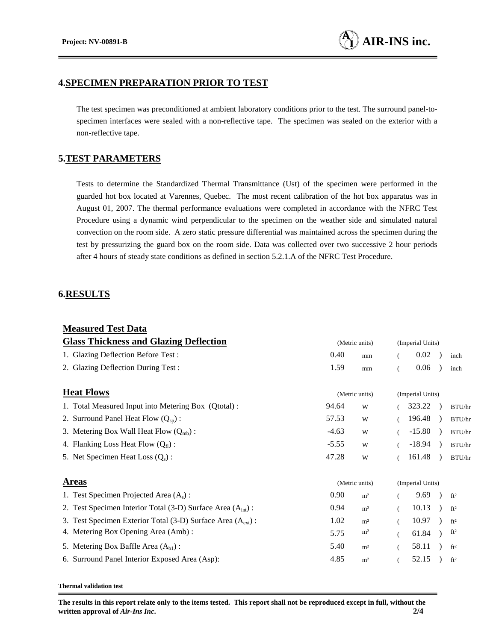#### **4.SPECIMEN PREPARATION PRIOR TO TEST**

The test specimen was preconditioned at ambient laboratory conditions prior to the test. The surround panel-tospecimen interfaces were sealed with a non-reflective tape. The specimen was sealed on the exterior with a non-reflective tape.

### **5.TEST PARAMETERS**

Tests to determine the Standardized Thermal Transmittance (Ust) of the specimen were performed in the guarded hot box located at Varennes, Quebec. The most recent calibration of the hot box apparatus was in August 01, 2007. The thermal performance evaluations were completed in accordance with the NFRC Test Procedure using a dynamic wind perpendicular to the specimen on the weather side and simulated natural convection on the room side. A zero static pressure differential was maintained across the specimen during the test by pressurizing the guard box on the room side. Data was collected over two successive 2 hour periods after 4 hours of steady state conditions as defined in section 5.2.1.A of the NFRC Test Procedure.

### **6.RESULTS**

| <b>Measured Test Data</b>                                               |                |                |                  |                  |  |                 |
|-------------------------------------------------------------------------|----------------|----------------|------------------|------------------|--|-----------------|
| <b>Glass Thickness and Glazing Deflection</b>                           | (Metric units) |                | (Imperial Units) |                  |  |                 |
| 1. Glazing Deflection Before Test:                                      | 0.40           | mm             | $\left($         | 0.02             |  | inch            |
| 2. Glazing Deflection During Test:                                      | 1.59           | mm             |                  | 0.06             |  | inch            |
| <b>Heat Flows</b>                                                       |                | (Metric units) |                  | (Imperial Units) |  |                 |
| 1. Total Measured Input into Metering Box (Qtotal):                     | 94.64          | W              |                  | 323.22           |  | BTU/hr          |
| 2. Surround Panel Heat Flow $(Q_{\text{sp}})$ :                         | 57.53          | W              |                  | 196.48           |  | BTU/hr          |
| 3. Metering Box Wall Heat Flow $(Q_{mb})$ :                             | $-4.63$        | W              | $\overline{(\ }$ | $-15.80$         |  | BTU/hr          |
| 4. Flanking Loss Heat Flow $(Q_f)$ :                                    | $-5.55$        | W              |                  | $-18.94$         |  | BTU/hr          |
| 5. Net Specimen Heat Loss $(Q_s)$ :                                     | 47.28          | W              |                  | 161.48           |  | BTU/hr          |
| <b>Areas</b>                                                            | (Metric units) |                | (Imperial Units) |                  |  |                 |
| 1. Test Specimen Projected Area $(A_s)$ :                               | 0.90           | m <sup>2</sup> |                  | 9.69             |  | ft <sup>2</sup> |
| 2. Test Specimen Interior Total (3-D) Surface Area $(Aint)$ :           | 0.94           | m <sup>2</sup> |                  | 10.13            |  | ft <sup>2</sup> |
| 3. Test Specimen Exterior Total (3-D) Surface Area (A <sub>ext</sub> ): | 1.02           | m <sup>2</sup> |                  | 10.97            |  | ft <sup>2</sup> |
| 4. Metering Box Opening Area (Amb):                                     | 5.75           | m <sup>2</sup> |                  | 61.84            |  | ft <sup>2</sup> |
| 5. Metering Box Baffle Area $(Abl)$ :                                   | 5.40           | m <sup>2</sup> |                  | 58.11            |  | ft <sup>2</sup> |
| 6. Surround Panel Interior Exposed Area (Asp):                          | 4.85           | m <sup>2</sup> |                  | 52.15            |  | ft <sup>2</sup> |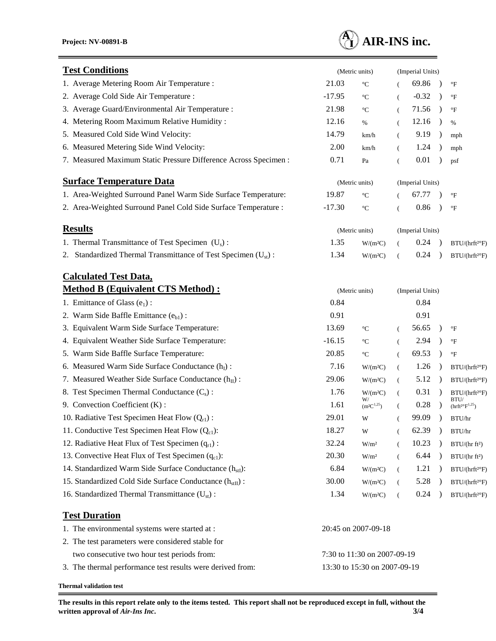

| <b>Test Conditions</b>                                               | (Metric units)               |                                         |          | (Imperial Units) |               |                                           |  |
|----------------------------------------------------------------------|------------------------------|-----------------------------------------|----------|------------------|---------------|-------------------------------------------|--|
| 1. Average Metering Room Air Temperature :                           | 21.03                        | $^{\circ}C$                             |          | 69.86            |               | $\mathrm{^{\circ}F}$                      |  |
| 2. Average Cold Side Air Temperature :                               | $-17.95$                     | $^{\circ}C$                             | (        | $-0.32$          | $\lambda$     | $\mathrm{^{\circ}F}$                      |  |
| 3. Average Guard/Environmental Air Temperature :                     | 21.98                        | $^{\circ}\mathrm{C}$                    | (        | 71.56            | $\rightarrow$ | $\mathrm{^{\circ}F}$                      |  |
| 4. Metering Room Maximum Relative Humidity:                          | 12.16                        | $\%$                                    | $\left($ | 12.16            | $\lambda$     | $\%$                                      |  |
| 5. Measured Cold Side Wind Velocity:                                 | 14.79                        | km/h                                    | $\left($ | 9.19             | $\rightarrow$ | mph                                       |  |
| 6. Measured Metering Side Wind Velocity:                             | 2.00                         | km/h                                    | $\left($ | 1.24             |               | mph                                       |  |
| 7. Measured Maximum Static Pressure Difference Across Specimen :     | 0.71                         | Pa                                      | (        | 0.01             |               | psf                                       |  |
| <b>Surface Temperature Data</b>                                      | (Metric units)               |                                         |          | (Imperial Units) |               |                                           |  |
| 1. Area-Weighted Surround Panel Warm Side Surface Temperature:       | 19.87                        | $^{\circ}C$                             |          | 67.77            |               | $\mathrm{^{\circ}F}$                      |  |
| 2. Area-Weighted Surround Panel Cold Side Surface Temperature :      | $-17.30$                     | $^{\circ}\mathrm{C}$                    | (        | 0.86             |               | $\rm ^{\circ}F$                           |  |
| <b>Results</b>                                                       | (Metric units)               |                                         |          | (Imperial Units) |               |                                           |  |
| 1. Thermal Transmittance of Test Specimen $(U_s)$ :                  | 1.35                         | W/(m <sup>2</sup> C)                    |          | 0.24             |               | BTU/(hrft <sup>2o</sup> F)                |  |
| 2. Standardized Thermal Transmittance of Test Specimen $(Ust)$ :     | 1.34                         | W/(m <sup>2</sup> C)                    | (        | 0.24             |               | $BTU/(hrft^{2\circ}F)$                    |  |
| <b>Calculated Test Data,</b>                                         |                              |                                         |          |                  |               |                                           |  |
| <b>Method B (Equivalent CTS Method):</b>                             |                              | (Metric units)                          |          | (Imperial Units) |               |                                           |  |
| 1. Emittance of Glass $(e_1)$ :                                      | 0.84                         |                                         |          | 0.84             |               |                                           |  |
| 2. Warm Side Baffle Emittance (eb1):                                 | 0.91                         |                                         |          | 0.91             |               |                                           |  |
| 3. Equivalent Warm Side Surface Temperature:                         | 13.69                        | $^{\circ}C$                             | - (      | 56.65            | $\lambda$     | $\mathrm{^{\circ}F}$                      |  |
| 4. Equivalent Weather Side Surface Temperature:                      | $-16.15$                     | $^{\circ}C$                             | $\left($ | 2.94             |               | $\rm ^{\circ}F$                           |  |
| 5. Warm Side Baffle Surface Temperature:                             | 20.85                        | $^{\circ}C$                             | $\left($ | 69.53            | $\lambda$     | $\mathrm{^{\circ}F}$                      |  |
| 6. Measured Warm Side Surface Conductance $(h_I)$ :                  | 7.16                         | W/(m <sup>2</sup> C)                    | - (      | 1.26             | $\rightarrow$ | $BTU/(hrft^{2°}F)$                        |  |
| 7. Measured Weather Side Surface Conductance $(h_{II})$ :            | 29.06                        | W/(m <sup>2</sup> C)                    | $\left($ | 5.12             | $\rightarrow$ | BTU / (hrft <sup>2</sup> F)               |  |
| 8. Test Specimen Thermal Conductance $(C_s)$ :                       | 1.76                         | W/(m <sup>2</sup> C)                    | $\left($ | 0.31             | $\rightarrow$ | $BTU/(hrft^{2}F)$                         |  |
| 9. Convection Coefficient (K):                                       | 1.61                         | W/<br>$(\mathrm{m}^2\mathrm{C}^{1,25})$ | $\left($ | 0.28             |               | BTU/<br>$(\rm h r f t^{2\circ} F^{1,25})$ |  |
| 10. Radiative Test Specimen Heat Flow $(Q_{r1})$ :                   | 29.01                        | W                                       |          | 99.09            |               | BTU/hr                                    |  |
| 11. Conductive Test Specimen Heat Flow (Q <sub>c1</sub> ):           | 18.27                        | W                                       |          | 62.39            | $\lambda$     | BTU/hr                                    |  |
| 12. Radiative Heat Flux of Test Specimen $(q_{r1})$ :                | 32.24                        | W/m <sup>2</sup>                        | €        | 10.23            |               | BTU/(hrft <sup>2</sup> )                  |  |
| 13. Convective Heat Flux of Test Specimen $(q_{c1})$ :               | 20.30                        | W/m <sup>2</sup>                        |          | 6.44             |               | BTU/(hrft <sup>2</sup> )                  |  |
| 14. Standardized Warm Side Surface Conductance $(h_{st})$ :          | 6.84                         | W/(m <sup>2</sup> C)                    | $\left($ | 1.21             | $\rightarrow$ | BTU/(hrft <sup>2o</sup> F)                |  |
| 15. Standardized Cold Side Surface Conductance (h <sub>stII</sub> ): | 30.00                        | W/(m <sup>2</sup> C)                    |          | 5.28             |               | BTU/(hrft <sup>2o</sup> F)                |  |
| 16. Standardized Thermal Transmittance $(U_{st})$ :                  | 1.34                         | W/(m <sup>2</sup> C)                    | (        | 0.24             |               | $BTU/(hrft^{20}F)$                        |  |
| <b>Test Duration</b>                                                 |                              |                                         |          |                  |               |                                           |  |
| 1. The environmental systems were started at :                       |                              | 20:45 on 2007-09-18                     |          |                  |               |                                           |  |
| 2. The test parameters were considered stable for                    |                              |                                         |          |                  |               |                                           |  |
| two consecutive two hour test periods from:                          | 7:30 to 11:30 on 2007-09-19  |                                         |          |                  |               |                                           |  |
| 3. The thermal performance test results were derived from:           | 13:30 to 15:30 on 2007-09-19 |                                         |          |                  |               |                                           |  |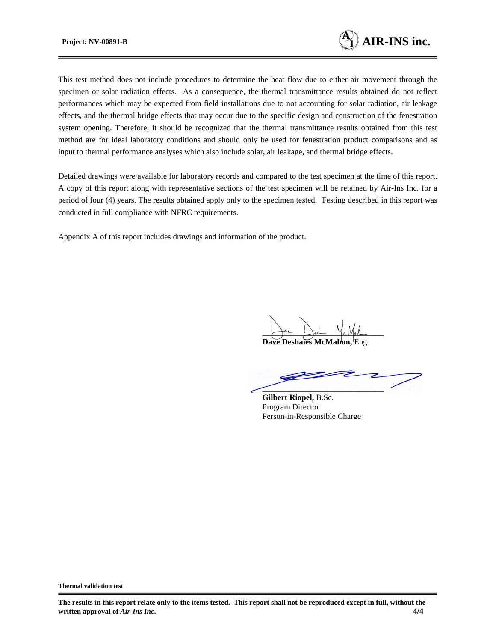

This test method does not include procedures to determine the heat flow due to either air movement through the specimen or solar radiation effects. As a consequence, the thermal transmittance results obtained do not reflect performances which may be expected from field installations due to not accounting for solar radiation, air leakage effects, and the thermal bridge effects that may occur due to the specific design and construction of the fenestration system opening. Therefore, it should be recognized that the thermal transmittance results obtained from this test method are for ideal laboratory conditions and should only be used for fenestration product comparisons and as input to thermal performance analyses which also include solar, air leakage, and thermal bridge effects.

Detailed drawings were available for laboratory records and compared to the test specimen at the time of this report. A copy of this report along with representative sections of the test specimen will be retained by Air-Ins Inc. for a period of four (4) years. The results obtained apply only to the specimen tested. Testing described in this report was conducted in full compliance with NFRC requirements.

Appendix A of this report includes drawings and information of the product.

Jac Jest Mc Mah

**Dave Deshaies McMahon.** 

**\_\_\_\_\_\_\_\_\_\_\_\_\_\_\_\_\_\_\_\_\_\_\_\_\_\_\_\_\_\_**

**Gilbert Riopel,** B.Sc. Program Director Person-in-Responsible Charge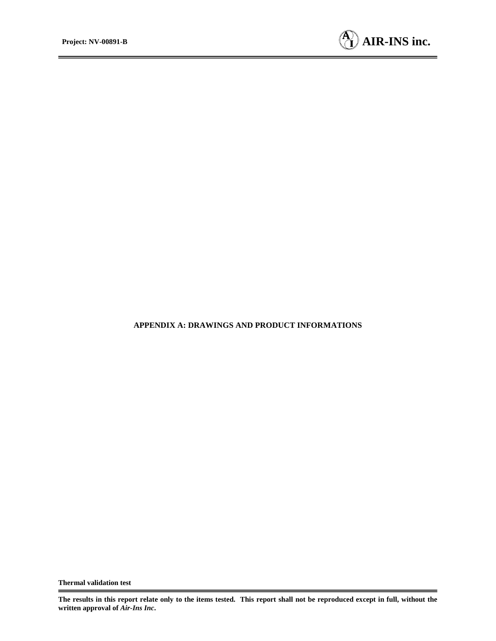

#### **APPENDIX A: DRAWINGS AND PRODUCT INFORMATIONS**

**The results in this report relate only to the items tested. This report shall not be reproduced except in full, without the written approval of** *Air-Ins Inc***.**